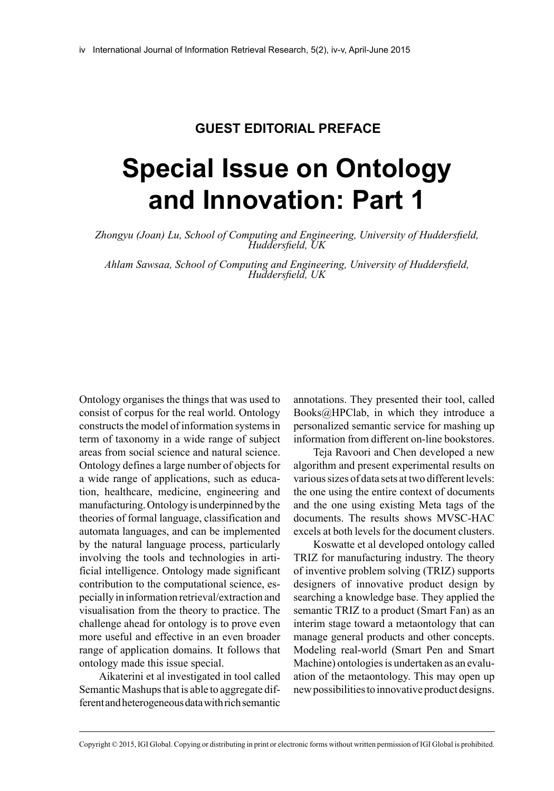## **Guest Editorial Preface**

## **Special Issue on Ontology and Innovation: Part 1**

*Zhongyu (Joan) Lu, School of Computing and Engineering, University of Huddersfield, Huddersfield, UK*

*Ahlam Sawsaa, School of Computing and Engineering, University of Huddersfield, Huddersfield, UK*

Ontology organises the things that was used to consist of corpus for the real world. Ontology constructs the model of information systems in term of taxonomy in a wide range of subject areas from social science and natural science. Ontology defines a large number of objects for a wide range of applications, such as education, healthcare, medicine, engineering and manufacturing. Ontology is underpinned by the theories of formal language, classification and automata languages, and can be implemented by the natural language process, particularly involving the tools and technologies in artificial intelligence. Ontology made significant contribution to the computational science, especially in information retrieval/extraction and visualisation from the theory to practice. The challenge ahead for ontology is to prove even more useful and effective in an even broader range of application domains. It follows that ontology made this issue special.

Aikaterini et al investigated in tool called Semantic Mashups that is able to aggregate different and heterogeneous data with rich semantic

annotations. They presented their tool, called Books@HPClab, in which they introduce a personalized semantic service for mashing up information from different on-line bookstores.

Teja Ravoori and Chen developed a new algorithm and present experimental results on various sizes of data sets at two different levels: the one using the entire context of documents and the one using existing Meta tags of the documents. The results shows MVSC-HAC excels at both levels for the document clusters.

Koswatte et al developed ontology called TRIZ for manufacturing industry. The theory of inventive problem solving (TRIZ) supports designers of innovative product design by searching a knowledge base. They applied the semantic TRIZ to a product (Smart Fan) as an interim stage toward a metaontology that can manage general products and other concepts. Modeling real-world (Smart Pen and Smart Machine) ontologies is undertaken as an evaluation of the metaontology. This may open up new possibilities to innovative product designs.